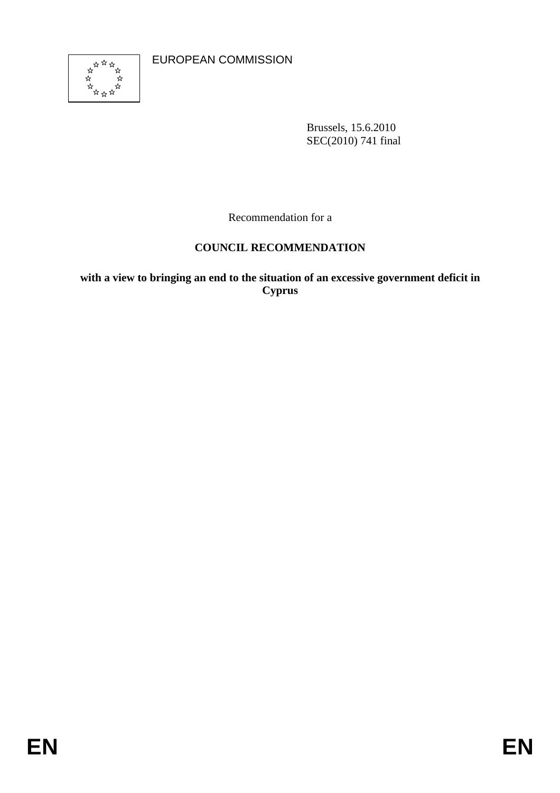EUROPEAN COMMISSION



Brussels, 15.6.2010 SEC(2010) 741 final

Recommendation for a

# **COUNCIL RECOMMENDATION**

**with a view to bringing an end to the situation of an excessive government deficit in Cyprus**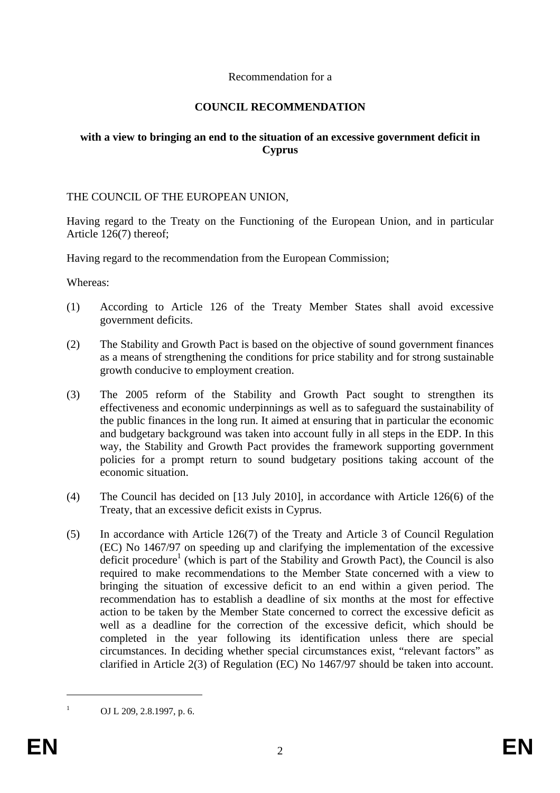### Recommendation for a

### **COUNCIL RECOMMENDATION**

## **with a view to bringing an end to the situation of an excessive government deficit in Cyprus**

### THE COUNCIL OF THE EUROPEAN UNION,

Having regard to the Treaty on the Functioning of the European Union, and in particular Article 126(7) thereof;

Having regard to the recommendation from the European Commission;

Whereas:

- (1) According to Article 126 of the Treaty Member States shall avoid excessive government deficits.
- (2) The Stability and Growth Pact is based on the objective of sound government finances as a means of strengthening the conditions for price stability and for strong sustainable growth conducive to employment creation.
- (3) The 2005 reform of the Stability and Growth Pact sought to strengthen its effectiveness and economic underpinnings as well as to safeguard the sustainability of the public finances in the long run. It aimed at ensuring that in particular the economic and budgetary background was taken into account fully in all steps in the EDP. In this way, the Stability and Growth Pact provides the framework supporting government policies for a prompt return to sound budgetary positions taking account of the economic situation.
- (4) The Council has decided on [13 July 2010], in accordance with Article 126(6) of the Treaty, that an excessive deficit exists in Cyprus.
- (5) In accordance with Article 126(7) of the Treaty and Article 3 of Council Regulation (EC) No 1467/97 on speeding up and clarifying the implementation of the excessive deficit procedure<sup>1</sup> (which is part of the Stability and Growth Pact), the Council is also required to make recommendations to the Member State concerned with a view to bringing the situation of excessive deficit to an end within a given period. The recommendation has to establish a deadline of six months at the most for effective action to be taken by the Member State concerned to correct the excessive deficit as well as a deadline for the correction of the excessive deficit, which should be completed in the year following its identification unless there are special circumstances. In deciding whether special circumstances exist, "relevant factors" as clarified in Article 2(3) of Regulation (EC) No 1467/97 should be taken into account.

OJ L 209, 2.8.1997, p. 6.

1 1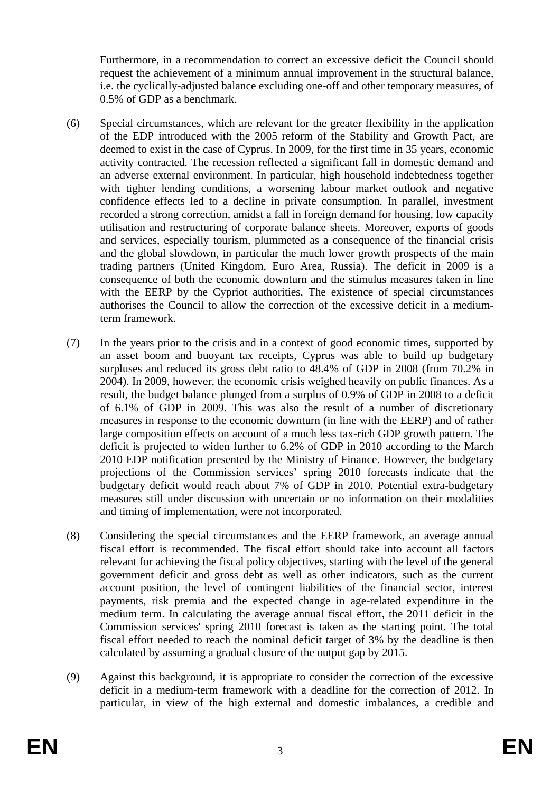Furthermore, in a recommendation to correct an excessive deficit the Council should request the achievement of a minimum annual improvement in the structural balance, i.e. the cyclically-adjusted balance excluding one-off and other temporary measures, of 0.5% of GDP as a benchmark.

- (6) Special circumstances, which are relevant for the greater flexibility in the application of the EDP introduced with the 2005 reform of the Stability and Growth Pact, are deemed to exist in the case of Cyprus. In 2009, for the first time in 35 years, economic activity contracted. The recession reflected a significant fall in domestic demand and an adverse external environment. In particular, high household indebtedness together with tighter lending conditions, a worsening labour market outlook and negative confidence effects led to a decline in private consumption. In parallel, investment recorded a strong correction, amidst a fall in foreign demand for housing, low capacity utilisation and restructuring of corporate balance sheets. Moreover, exports of goods and services, especially tourism, plummeted as a consequence of the financial crisis and the global slowdown, in particular the much lower growth prospects of the main trading partners (United Kingdom, Euro Area, Russia). The deficit in 2009 is a consequence of both the economic downturn and the stimulus measures taken in line with the EERP by the Cypriot authorities. The existence of special circumstances authorises the Council to allow the correction of the excessive deficit in a mediumterm framework.
- (7) In the years prior to the crisis and in a context of good economic times, supported by an asset boom and buoyant tax receipts, Cyprus was able to build up budgetary surpluses and reduced its gross debt ratio to 48.4% of GDP in 2008 (from 70.2% in 2004). In 2009, however, the economic crisis weighed heavily on public finances. As a result, the budget balance plunged from a surplus of 0.9% of GDP in 2008 to a deficit of 6.1% of GDP in 2009. This was also the result of a number of discretionary measures in response to the economic downturn (in line with the EERP) and of rather large composition effects on account of a much less tax-rich GDP growth pattern. The deficit is projected to widen further to 6.2% of GDP in 2010 according to the March 2010 EDP notification presented by the Ministry of Finance. However, the budgetary projections of the Commission services' spring 2010 forecasts indicate that the budgetary deficit would reach about 7% of GDP in 2010. Potential extra-budgetary measures still under discussion with uncertain or no information on their modalities and timing of implementation, were not incorporated.
- (8) Considering the special circumstances and the EERP framework, an average annual fiscal effort is recommended. The fiscal effort should take into account all factors relevant for achieving the fiscal policy objectives, starting with the level of the general government deficit and gross debt as well as other indicators, such as the current account position, the level of contingent liabilities of the financial sector, interest payments, risk premia and the expected change in age-related expenditure in the medium term. In calculating the average annual fiscal effort, the 2011 deficit in the Commission services' spring 2010 forecast is taken as the starting point. The total fiscal effort needed to reach the nominal deficit target of 3% by the deadline is then calculated by assuming a gradual closure of the output gap by 2015.
- (9) Against this background, it is appropriate to consider the correction of the excessive deficit in a medium-term framework with a deadline for the correction of 2012. In particular, in view of the high external and domestic imbalances, a credible and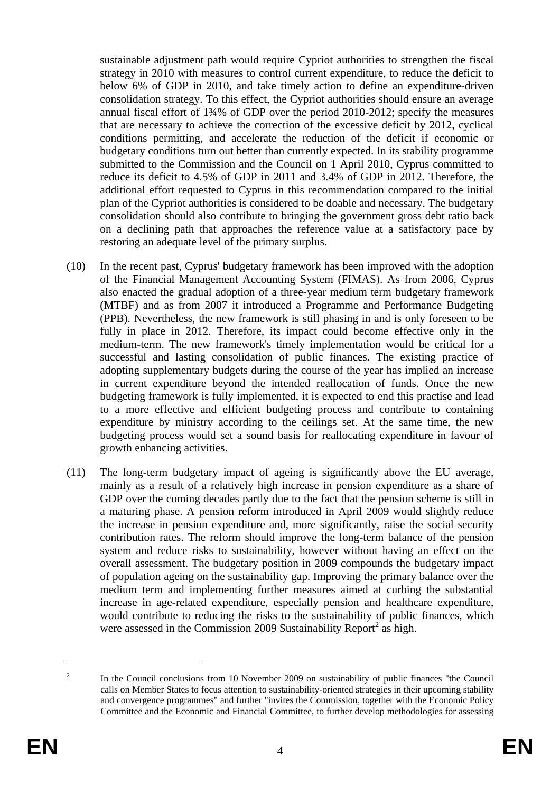sustainable adjustment path would require Cypriot authorities to strengthen the fiscal strategy in 2010 with measures to control current expenditure, to reduce the deficit to below 6% of GDP in 2010, and take timely action to define an expenditure-driven consolidation strategy. To this effect, the Cypriot authorities should ensure an average annual fiscal effort of 1¾% of GDP over the period 2010-2012; specify the measures that are necessary to achieve the correction of the excessive deficit by 2012, cyclical conditions permitting, and accelerate the reduction of the deficit if economic or budgetary conditions turn out better than currently expected. In its stability programme submitted to the Commission and the Council on 1 April 2010, Cyprus committed to reduce its deficit to 4.5% of GDP in 2011 and 3.4% of GDP in 2012. Therefore, the additional effort requested to Cyprus in this recommendation compared to the initial plan of the Cypriot authorities is considered to be doable and necessary. The budgetary consolidation should also contribute to bringing the government gross debt ratio back on a declining path that approaches the reference value at a satisfactory pace by restoring an adequate level of the primary surplus.

- (10) In the recent past, Cyprus' budgetary framework has been improved with the adoption of the Financial Management Accounting System (FIMAS). As from 2006, Cyprus also enacted the gradual adoption of a three-year medium term budgetary framework (MTBF) and as from 2007 it introduced a Programme and Performance Budgeting (PPB). Nevertheless, the new framework is still phasing in and is only foreseen to be fully in place in 2012. Therefore, its impact could become effective only in the medium-term. The new framework's timely implementation would be critical for a successful and lasting consolidation of public finances. The existing practice of adopting supplementary budgets during the course of the year has implied an increase in current expenditure beyond the intended reallocation of funds. Once the new budgeting framework is fully implemented, it is expected to end this practise and lead to a more effective and efficient budgeting process and contribute to containing expenditure by ministry according to the ceilings set. At the same time, the new budgeting process would set a sound basis for reallocating expenditure in favour of growth enhancing activities.
- (11) The long-term budgetary impact of ageing is significantly above the EU average, mainly as a result of a relatively high increase in pension expenditure as a share of GDP over the coming decades partly due to the fact that the pension scheme is still in a maturing phase. A pension reform introduced in April 2009 would slightly reduce the increase in pension expenditure and, more significantly, raise the social security contribution rates. The reform should improve the long-term balance of the pension system and reduce risks to sustainability, however without having an effect on the overall assessment. The budgetary position in 2009 compounds the budgetary impact of population ageing on the sustainability gap. Improving the primary balance over the medium term and implementing further measures aimed at curbing the substantial increase in age-related expenditure, especially pension and healthcare expenditure, would contribute to reducing the risks to the sustainability of public finances, which were assessed in the Commission 2009 Sustainability Report<sup>2</sup> as high.

1

<sup>2</sup> In the Council conclusions from 10 November 2009 on sustainability of public finances "the Council calls on Member States to focus attention to sustainability-oriented strategies in their upcoming stability and convergence programmes" and further "invites the Commission, together with the Economic Policy Committee and the Economic and Financial Committee, to further develop methodologies for assessing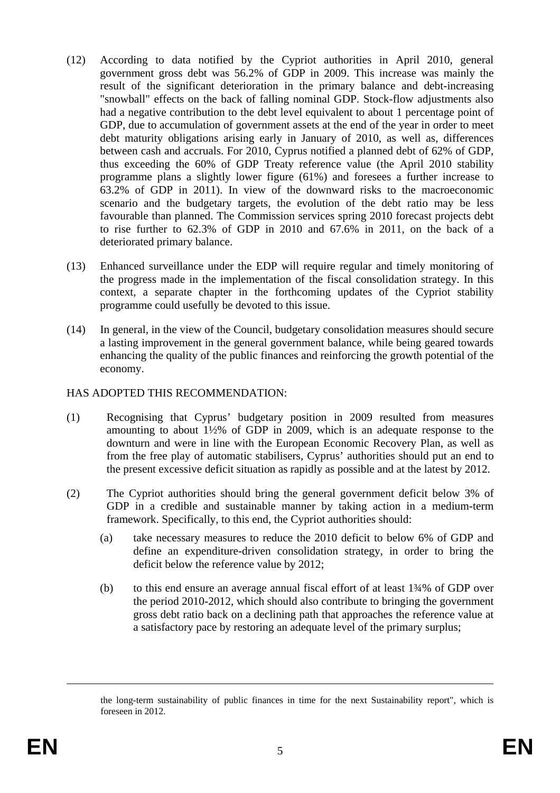- (12) According to data notified by the Cypriot authorities in April 2010, general government gross debt was 56.2% of GDP in 2009. This increase was mainly the result of the significant deterioration in the primary balance and debt-increasing "snowball" effects on the back of falling nominal GDP. Stock-flow adjustments also had a negative contribution to the debt level equivalent to about 1 percentage point of GDP, due to accumulation of government assets at the end of the year in order to meet debt maturity obligations arising early in January of 2010, as well as, differences between cash and accruals. For 2010, Cyprus notified a planned debt of 62% of GDP, thus exceeding the 60% of GDP Treaty reference value (the April 2010 stability programme plans a slightly lower figure (61%) and foresees a further increase to 63.2% of GDP in 2011). In view of the downward risks to the macroeconomic scenario and the budgetary targets, the evolution of the debt ratio may be less favourable than planned. The Commission services spring 2010 forecast projects debt to rise further to 62.3% of GDP in 2010 and 67.6% in 2011, on the back of a deteriorated primary balance.
- (13) Enhanced surveillance under the EDP will require regular and timely monitoring of the progress made in the implementation of the fiscal consolidation strategy. In this context, a separate chapter in the forthcoming updates of the Cypriot stability programme could usefully be devoted to this issue.
- (14) In general, in the view of the Council, budgetary consolidation measures should secure a lasting improvement in the general government balance, while being geared towards enhancing the quality of the public finances and reinforcing the growth potential of the economy.

### HAS ADOPTED THIS RECOMMENDATION:

- (1) Recognising that Cyprus' budgetary position in 2009 resulted from measures amounting to about 1½% of GDP in 2009, which is an adequate response to the downturn and were in line with the European Economic Recovery Plan, as well as from the free play of automatic stabilisers, Cyprus' authorities should put an end to the present excessive deficit situation as rapidly as possible and at the latest by 2012.
- (2) The Cypriot authorities should bring the general government deficit below 3% of GDP in a credible and sustainable manner by taking action in a medium-term framework. Specifically, to this end, the Cypriot authorities should:
	- (a) take necessary measures to reduce the 2010 deficit to below 6% of GDP and define an expenditure-driven consolidation strategy, in order to bring the deficit below the reference value by 2012;
	- (b) to this end ensure an average annual fiscal effort of at least 1¾% of GDP over the period 2010-2012, which should also contribute to bringing the government gross debt ratio back on a declining path that approaches the reference value at a satisfactory pace by restoring an adequate level of the primary surplus;

<u>.</u>

the long-term sustainability of public finances in time for the next Sustainability report", which is foreseen in 2012.